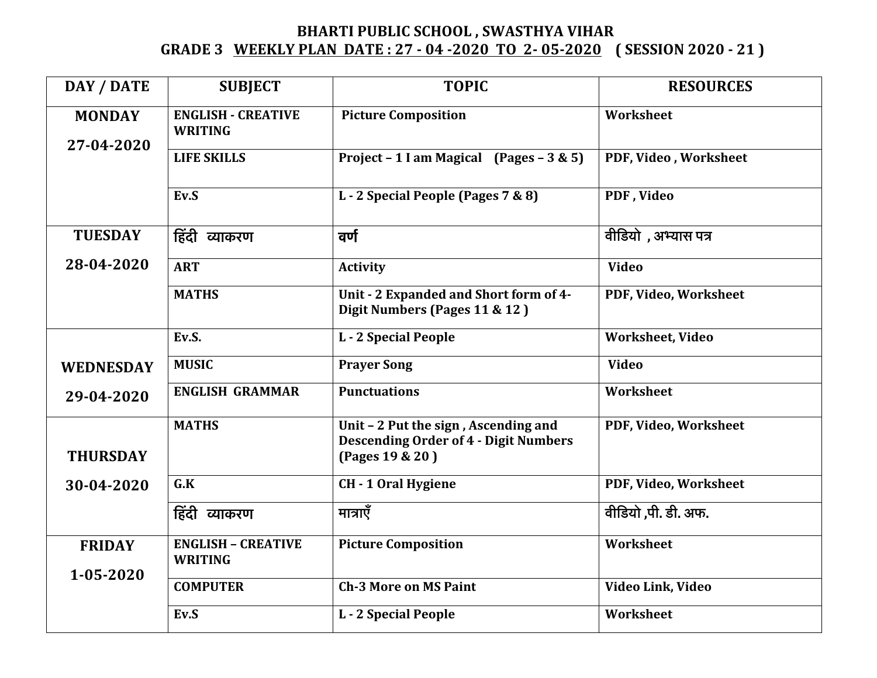## **BHARTI PUBLIC SCHOOL , SWASTHYA VIHAR GRADE 3** WEEKLY PLAN DATE : 27 - 04 -2020 TO 2-05-2020 (SESSION 2020 - 21)

| DAY / DATE                       | <b>SUBJECT</b>                              | <b>TOPIC</b>                                                                                            | <b>RESOURCES</b>      |
|----------------------------------|---------------------------------------------|---------------------------------------------------------------------------------------------------------|-----------------------|
| <b>MONDAY</b><br>27-04-2020      | <b>ENGLISH - CREATIVE</b><br><b>WRITING</b> | <b>Picture Composition</b>                                                                              | Worksheet             |
|                                  | <b>LIFE SKILLS</b>                          | Project - 1 I am Magical (Pages - $3 & 5$ )                                                             | PDF, Video, Worksheet |
|                                  | Ev.S                                        | L - 2 Special People (Pages 7 & 8)                                                                      | PDF, Video            |
| <b>TUESDAY</b>                   | हिंदी व्याकरण                               | वर्ण                                                                                                    | वीडियो , अभ्यास पत्र  |
| 28-04-2020                       | <b>ART</b>                                  | <b>Activity</b>                                                                                         | <b>Video</b>          |
|                                  | <b>MATHS</b>                                | Unit - 2 Expanded and Short form of 4-<br>Digit Numbers (Pages 11 & 12)                                 | PDF, Video, Worksheet |
|                                  | Ev.S.                                       | <b>L-2 Special People</b>                                                                               | Worksheet, Video      |
| <b>WEDNESDAY</b>                 | <b>MUSIC</b>                                | <b>Prayer Song</b>                                                                                      | <b>Video</b>          |
| 29-04-2020                       | <b>ENGLISH GRAMMAR</b>                      | <b>Punctuations</b>                                                                                     | Worksheet             |
| <b>THURSDAY</b>                  | <b>MATHS</b>                                | Unit - 2 Put the sign, Ascending and<br><b>Descending Order of 4 - Digit Numbers</b><br>(Pages 19 & 20) | PDF, Video, Worksheet |
| 30-04-2020                       | G.K                                         | <b>CH</b> - 1 Oral Hygiene                                                                              | PDF, Video, Worksheet |
|                                  | हिंदी व्याकरण                               | मात्राएँ                                                                                                | वीडियो,पी.डी. अफ.     |
| <b>FRIDAY</b><br>$1 - 05 - 2020$ | <b>ENGLISH - CREATIVE</b><br><b>WRITING</b> | <b>Picture Composition</b>                                                                              | <b>Worksheet</b>      |
|                                  | <b>COMPUTER</b>                             | <b>Ch-3 More on MS Paint</b>                                                                            | Video Link, Video     |
|                                  | Ev.S                                        | <b>L</b> - 2 Special People                                                                             | Worksheet             |